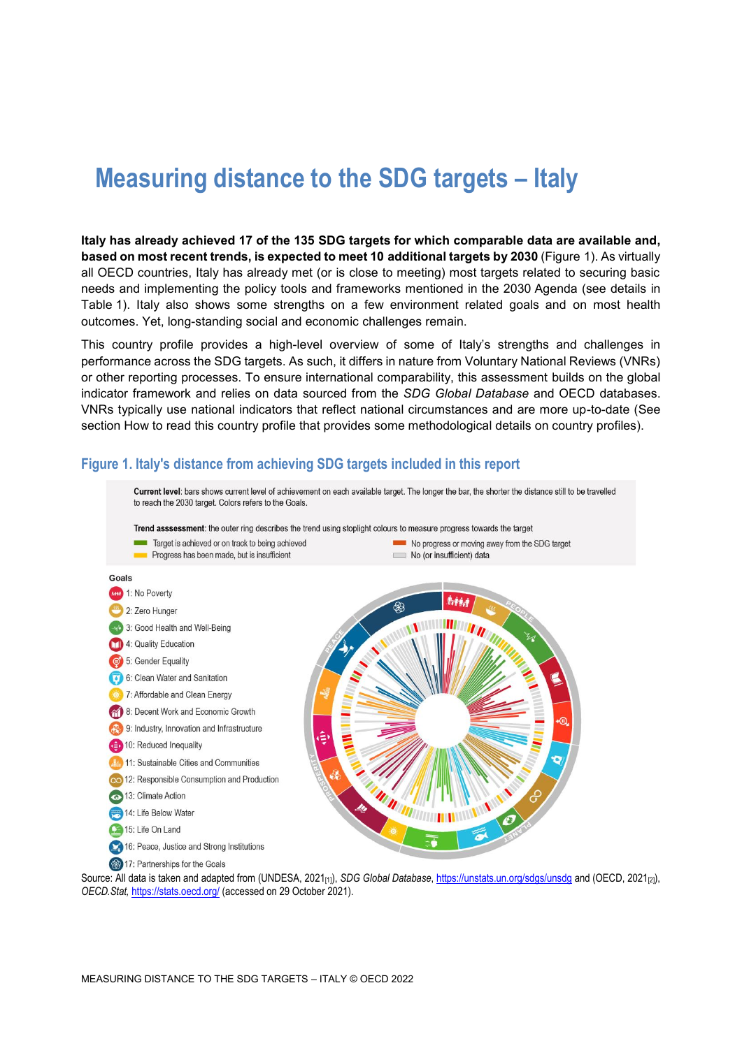# **Measuring distance to the SDG targets – Italy**

**Italy has already achieved 17 of the 135 SDG targets for which comparable data are available and, based on most recent trends, is expected to meet 10 additional targets by 2030** [\(Figure](#page-0-0) 1). As virtually all OECD countries, Italy has already met (or is close to meeting) most targets related to securing basic needs and implementing the policy tools and frameworks mentioned in the 2030 Agenda (see details in [Table](#page-3-0) 1). Italy also shows some strengths on a few environment related goals and on most health outcomes. Yet, long-standing social and economic challenges remain.

This country profile provides a high-level overview of some of Italy's strengths and challenges in performance across the SDG targets. As such, it differs in nature from Voluntary National Reviews (VNRs) or other reporting processes. To ensure international comparability, this assessment builds on the global indicator framework and relies on data sourced from the *SDG Global Database* and OECD databases. VNRs typically use national indicators that reflect national circumstances and are more up-to-date (See section [How to read this](#page-7-0) country profile that provides some methodological details on country profiles).

#### <span id="page-0-0"></span>**Figure 1. Italy's distance from achieving SDG targets included in this report**



Source: All data is taken and adapted from (UNDESA, 2021<sub>[1]</sub>), *SDG Global Database*[, https://unstats.un.org/sdgs/unsdg](https://unstats.un.org/sdgs/unsdg) and (OECD, 2021<sub>[2]</sub>), *OECD.Stat,* <https://stats.oecd.org/> (accessed on 29 October 2021).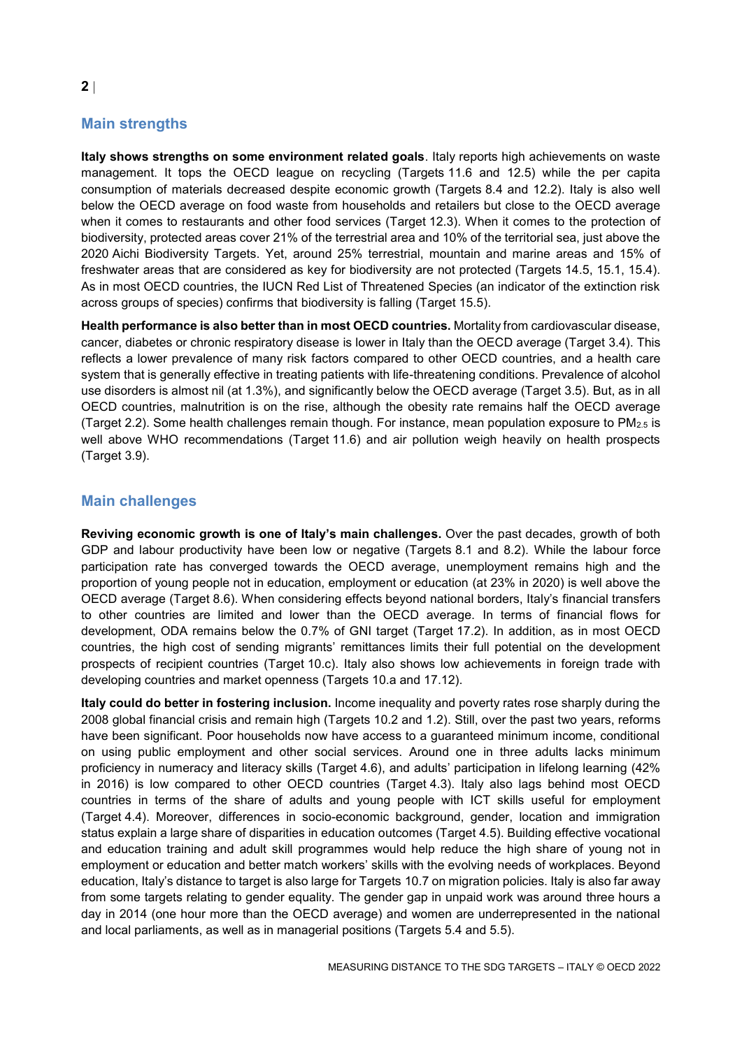# **Main strengths**

**Italy shows strengths on some environment related goals**. Italy reports high achievements on waste management. It tops the OECD league on recycling (Targets 11.6 and 12.5) while the per capita consumption of materials decreased despite economic growth (Targets 8.4 and 12.2). Italy is also well below the OECD average on food waste from households and retailers but close to the OECD average when it comes to restaurants and other food services (Target 12.3). When it comes to the protection of biodiversity, protected areas cover 21% of the terrestrial area and 10% of the territorial sea, just above the 2020 Aichi Biodiversity Targets. Yet, around 25% terrestrial, mountain and marine areas and 15% of freshwater areas that are considered as key for biodiversity are not protected (Targets 14.5, 15.1, 15.4). As in most OECD countries, the IUCN Red List of Threatened Species (an indicator of the extinction risk across groups of species) confirms that biodiversity is falling (Target 15.5).

**Health performance is also better than in most OECD countries.** Mortality from cardiovascular disease, cancer, diabetes or chronic respiratory disease is lower in Italy than the OECD average (Target 3.4). This reflects a lower prevalence of many risk factors compared to other OECD countries, and a health care system that is generally effective in treating patients with life-threatening conditions. Prevalence of alcohol use disorders is almost nil (at 1.3%), and significantly below the OECD average (Target 3.5). But, as in all OECD countries, malnutrition is on the rise, although the obesity rate remains half the OECD average (Target 2.2). Some health challenges remain though. For instance, mean population exposure to PM2.5 is well above WHO recommendations (Target 11.6) and air pollution weigh heavily on health prospects (Target 3.9).

## **Main challenges**

**Reviving economic growth is one of Italy's main challenges.** Over the past decades, growth of both GDP and labour productivity have been low or negative (Targets 8.1 and 8.2). While the labour force participation rate has converged towards the OECD average, unemployment remains high and the proportion of young people not in education, employment or education (at 23% in 2020) is well above the OECD average (Target 8.6). When considering effects beyond national borders, Italy's financial transfers to other countries are limited and lower than the OECD average. In terms of financial flows for development, ODA remains below the 0.7% of GNI target (Target 17.2). In addition, as in most OECD countries, the high cost of sending migrants' remittances limits their full potential on the development prospects of recipient countries (Target 10.c). Italy also shows low achievements in foreign trade with developing countries and market openness (Targets 10.a and 17.12).

**Italy could do better in fostering inclusion.** Income inequality and poverty rates rose sharply during the 2008 global financial crisis and remain high (Targets 10.2 and 1.2). Still, over the past two years, reforms have been significant. Poor households now have access to a guaranteed minimum income, conditional on using public employment and other social services. Around one in three adults lacks minimum proficiency in numeracy and literacy skills (Target 4.6), and adults' participation in lifelong learning (42% in 2016) is low compared to other OECD countries (Target 4.3). Italy also lags behind most OECD countries in terms of the share of adults and young people with ICT skills useful for employment (Target 4.4). Moreover, differences in socio-economic background, gender, location and immigration status explain a large share of disparities in education outcomes (Target 4.5). Building effective vocational and education training and adult skill programmes would help reduce the high share of young not in employment or education and better match workers' skills with the evolving needs of workplaces. Beyond education, Italy's distance to target is also large for Targets 10.7 on migration policies. Italy is also far away from some targets relating to gender equality. The gender gap in unpaid work was around three hours a day in 2014 (one hour more than the OECD average) and women are underrepresented in the national and local parliaments, as well as in managerial positions (Targets 5.4 and 5.5).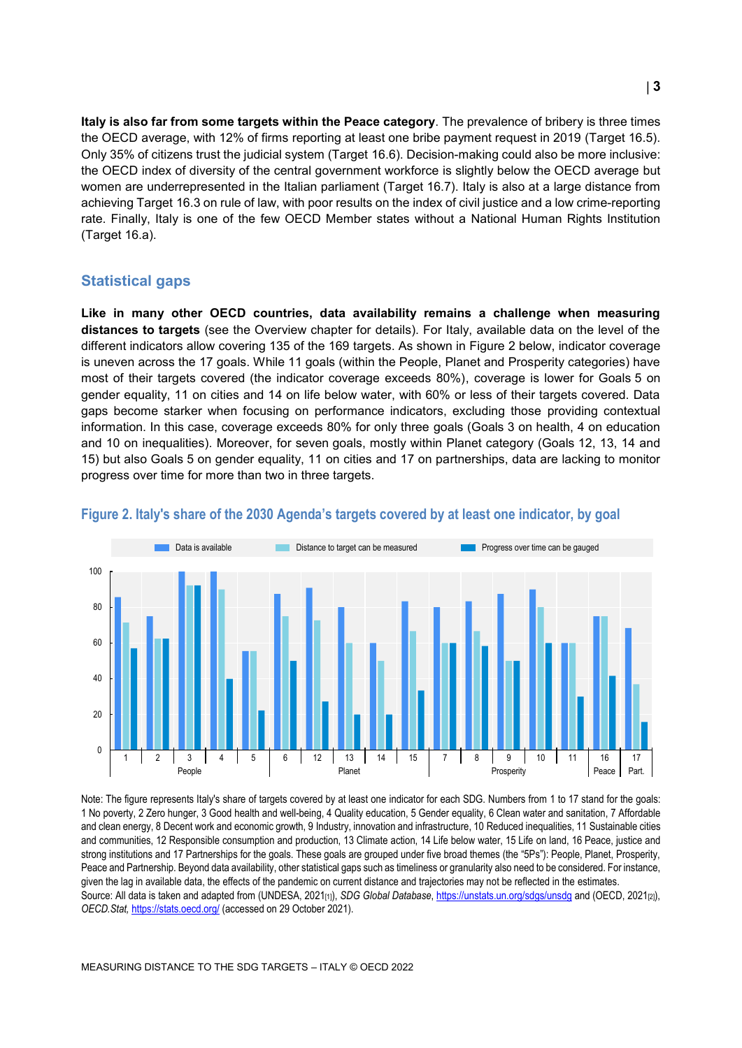**Italy is also far from some targets within the Peace category**. The prevalence of bribery is three times the OECD average, with 12% of firms reporting at least one bribe payment request in 2019 (Target 16.5). Only 35% of citizens trust the judicial system (Target 16.6). Decision-making could also be more inclusive: the OECD index of diversity of the central government workforce is slightly below the OECD average but women are underrepresented in the Italian parliament (Target 16.7). Italy is also at a large distance from achieving Target 16.3 on rule of law, with poor results on the index of civil justice and a low crime-reporting rate. Finally, Italy is one of the few OECD Member states without a National Human Rights Institution (Target 16.a).

#### **Statistical gaps**

**Like in many other OECD countries, data availability remains a challenge when measuring distances to targets** (see the Overview chapter for details). For Italy, available data on the level of the different indicators allow covering 135 of the 169 targets. As shown in [Figure](#page-2-0) 2 below, indicator coverage is uneven across the 17 goals. While 11 goals (within the People, Planet and Prosperity categories) have most of their targets covered (the indicator coverage exceeds 80%), coverage is lower for Goals 5 on gender equality, 11 on cities and 14 on life below water, with 60% or less of their targets covered. Data gaps become starker when focusing on performance indicators, excluding those providing contextual information. In this case, coverage exceeds 80% for only three goals (Goals 3 on health, 4 on education and 10 on inequalities). Moreover, for seven goals, mostly within Planet category (Goals 12, 13, 14 and 15) but also Goals 5 on gender equality, 11 on cities and 17 on partnerships, data are lacking to monitor progress over time for more than two in three targets.



#### <span id="page-2-0"></span>**Figure 2. Italy's share of the 2030 Agenda's targets covered by at least one indicator, by goal**

Note: The figure represents Italy's share of targets covered by at least one indicator for each SDG. Numbers from 1 to 17 stand for the goals: 1 No poverty, 2 Zero hunger, 3 Good health and well-being, 4 Quality education, 5 Gender equality, 6 Clean water and sanitation, 7 Affordable and clean energy, 8 Decent work and economic growth, 9 Industry, innovation and infrastructure, 10 Reduced inequalities, 11 Sustainable cities and communities, 12 Responsible consumption and production, 13 Climate action, 14 Life below water, 15 Life on land, 16 Peace, justice and strong institutions and 17 Partnerships for the goals. These goals are grouped under five broad themes (the "5Ps"): People, Planet, Prosperity, Peace and Partnership. Beyond data availability, other statistical gaps such as timeliness or granularity also need to be considered. For instance, given the lag in available data, the effects of the pandemic on current distance and trajectories may not be reflected in the estimates. Source: All data is taken and adapted from (UNDESA, 2021[1]), *SDG Global Database*[, https://unstats.un.org/sdgs/unsdg](https://unstats.un.org/sdgs/unsdg) and (OECD, 2021<sub>[2]</sub>), *OECD.Stat,* <https://stats.oecd.org/> (accessed on 29 October 2021).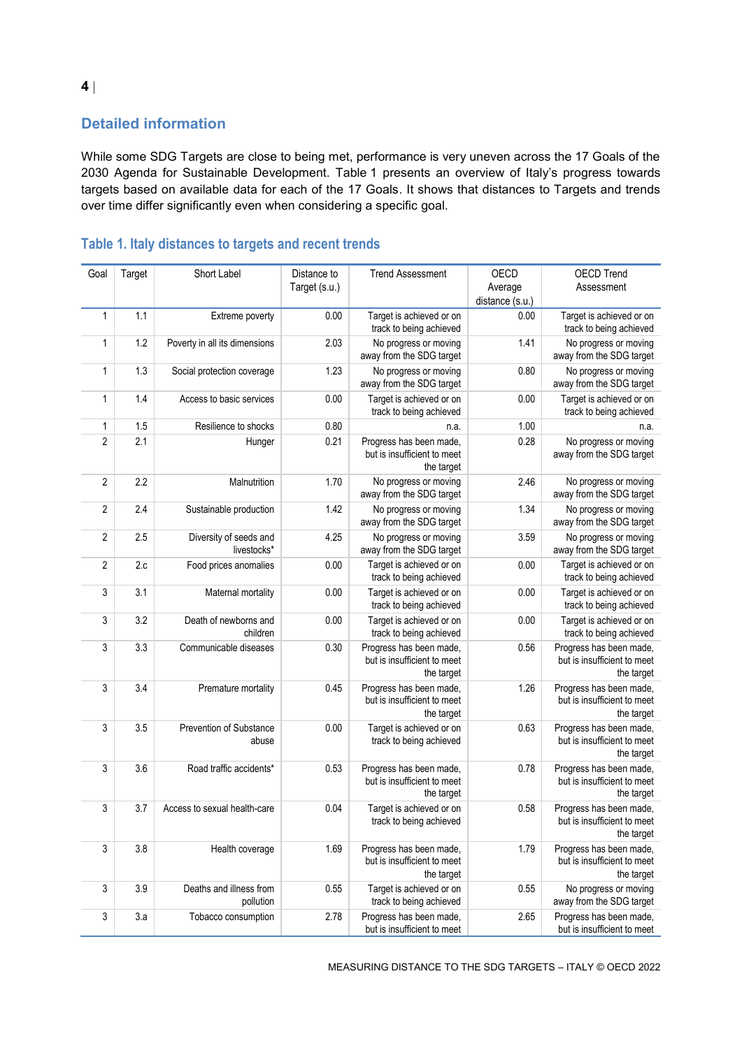# **Detailed information**

While some SDG Targets are close to being met, performance is very uneven across the 17 Goals of the 2030 Agenda for Sustainable Development. [Table](#page-3-0) 1 presents an overview of Italy's progress towards targets based on available data for each of the 17 Goals. It shows that distances to Targets and trends over time differ significantly even when considering a specific goal.

| Goal           | Target | Short Label                           | Distance to   | <b>Trend Assessment</b>                                              | OECD            | <b>OECD Trend</b>                                                    |
|----------------|--------|---------------------------------------|---------------|----------------------------------------------------------------------|-----------------|----------------------------------------------------------------------|
|                |        |                                       | Target (s.u.) |                                                                      | Average         | Assessment                                                           |
|                |        |                                       |               |                                                                      | distance (s.u.) |                                                                      |
| $\mathbf{1}$   | 1.1    | Extreme poverty                       | 0.00          | Target is achieved or on<br>track to being achieved                  | 0.00            | Target is achieved or on<br>track to being achieved                  |
| 1              | 1.2    | Poverty in all its dimensions         | 2.03          | No progress or moving<br>away from the SDG target                    | 1.41            | No progress or moving<br>away from the SDG target                    |
| $\mathbf{1}$   | 1.3    | Social protection coverage            | 1.23          | No progress or moving<br>away from the SDG target                    | 0.80            | No progress or moving<br>away from the SDG target                    |
| $\mathbf{1}$   | 1.4    | Access to basic services              | 0.00          | Target is achieved or on<br>track to being achieved                  | 0.00            | Target is achieved or on<br>track to being achieved                  |
| 1              | 1.5    | Resilience to shocks                  | 0.80          | n.a.                                                                 | 1.00            | n.a.                                                                 |
| $\overline{2}$ | 2.1    | Hunger                                | 0.21          | Progress has been made,<br>but is insufficient to meet<br>the target | 0.28            | No progress or moving<br>away from the SDG target                    |
| $\overline{2}$ | 2.2    | Malnutrition                          | 1.70          | No progress or moving<br>away from the SDG target                    | 2.46            | No progress or moving<br>away from the SDG target                    |
| $\overline{2}$ | 2.4    | Sustainable production                | 1.42          | No progress or moving<br>away from the SDG target                    | 1.34            | No progress or moving<br>away from the SDG target                    |
| $\overline{2}$ | 2.5    | Diversity of seeds and<br>livestocks* | 4.25          | No progress or moving<br>away from the SDG target                    | 3.59            | No progress or moving<br>away from the SDG target                    |
| 2              | 2.c    | Food prices anomalies                 | 0.00          | Target is achieved or on<br>track to being achieved                  | 0.00            | Target is achieved or on<br>track to being achieved                  |
| 3              | 3.1    | Maternal mortality                    | 0.00          | Target is achieved or on<br>track to being achieved                  | 0.00            | Target is achieved or on<br>track to being achieved                  |
| 3              | 3.2    | Death of newborns and<br>children     | 0.00          | Target is achieved or on<br>track to being achieved                  | 0.00            | Target is achieved or on<br>track to being achieved                  |
| 3              | 3.3    | Communicable diseases                 | 0.30          | Progress has been made,<br>but is insufficient to meet<br>the target | 0.56            | Progress has been made,<br>but is insufficient to meet<br>the target |
| 3              | 3.4    | Premature mortality                   | 0.45          | Progress has been made,<br>but is insufficient to meet<br>the target | 1.26            | Progress has been made,<br>but is insufficient to meet<br>the target |
| 3              | 3.5    | Prevention of Substance<br>abuse      | 0.00          | Target is achieved or on<br>track to being achieved                  | 0.63            | Progress has been made,<br>but is insufficient to meet<br>the target |
| 3              | 3.6    | Road traffic accidents*               | 0.53          | Progress has been made,<br>but is insufficient to meet<br>the target | 0.78            | Progress has been made,<br>but is insufficient to meet<br>the target |
| 3              | 3.7    | Access to sexual health-care          | 0.04          | Target is achieved or on<br>track to being achieved                  | 0.58            | Progress has been made,<br>but is insufficient to meet<br>the target |
| 3              | 3.8    | Health coverage                       | 1.69          | Progress has been made,<br>but is insufficient to meet<br>the target | 1.79            | Progress has been made,<br>but is insufficient to meet<br>the target |
| 3              | 3.9    | Deaths and illness from<br>pollution  | 0.55          | Target is achieved or on<br>track to being achieved                  | 0.55            | No progress or moving<br>away from the SDG target                    |
| 3              | 3.a    | Tobacco consumption                   | 2.78          | Progress has been made,<br>but is insufficient to meet               | 2.65            | Progress has been made,<br>but is insufficient to meet               |

# <span id="page-3-0"></span>**Table 1. Italy distances to targets and recent trends**

MEASURING DISTANCE TO THE SDG TARGETS – ITALY © OECD 2022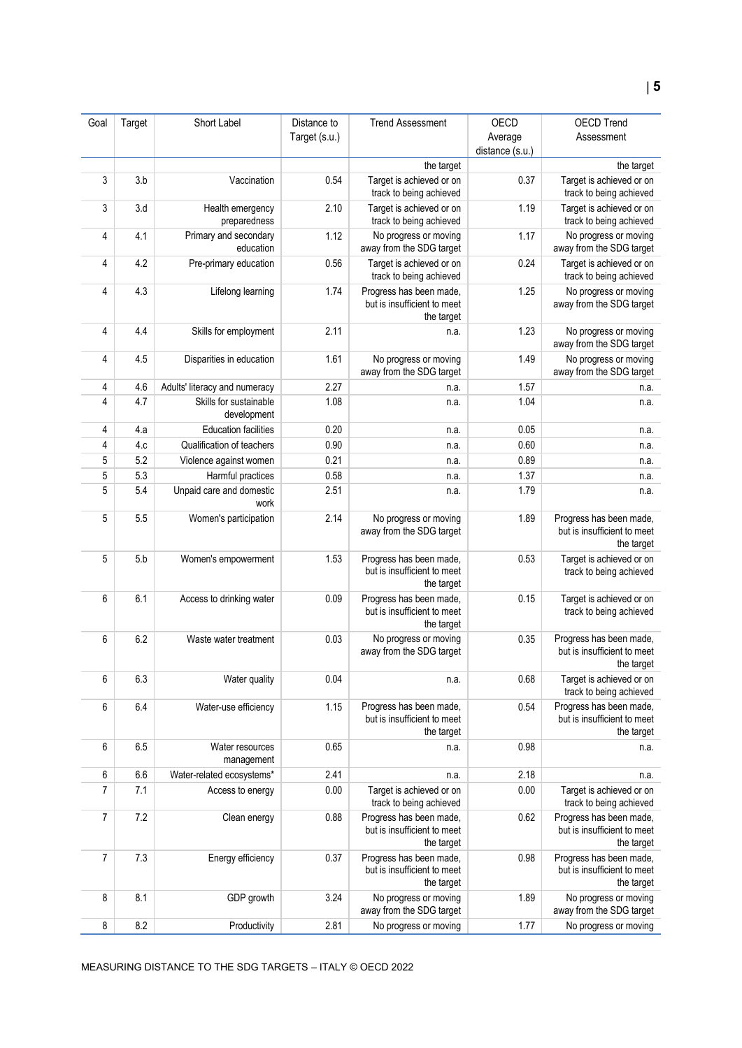| Goal | Target | Short Label                           | Distance to   | <b>Trend Assessment</b>                                              | OECD            | <b>OECD Trend</b>                                                    |
|------|--------|---------------------------------------|---------------|----------------------------------------------------------------------|-----------------|----------------------------------------------------------------------|
|      |        |                                       | Target (s.u.) |                                                                      | Average         | Assessment                                                           |
|      |        |                                       |               |                                                                      | distance (s.u.) |                                                                      |
|      |        |                                       |               | the target                                                           |                 | the target                                                           |
| 3    | 3.b    | Vaccination                           | 0.54          | Target is achieved or on<br>track to being achieved                  | 0.37            | Target is achieved or on<br>track to being achieved                  |
| 3    | 3.d    | Health emergency<br>preparedness      | 2.10          | Target is achieved or on<br>track to being achieved                  | 1.19            | Target is achieved or on<br>track to being achieved                  |
| 4    | 4.1    | Primary and secondary<br>education    | 1.12          | No progress or moving<br>away from the SDG target                    | 1.17            | No progress or moving<br>away from the SDG target                    |
| 4    | 4.2    | Pre-primary education                 | 0.56          | Target is achieved or on<br>track to being achieved                  | 0.24            | Target is achieved or on<br>track to being achieved                  |
| 4    | 4.3    | Lifelong learning                     | 1.74          | Progress has been made,<br>but is insufficient to meet<br>the target | 1.25            | No progress or moving<br>away from the SDG target                    |
| 4    | 4.4    | Skills for employment                 | 2.11          | n.a.                                                                 | 1.23            | No progress or moving<br>away from the SDG target                    |
| 4    | 4.5    | Disparities in education              | 1.61          | No progress or moving<br>away from the SDG target                    | 1.49            | No progress or moving<br>away from the SDG target                    |
| 4    | 4.6    | Adults' literacy and numeracy         | 2.27          | n.a.                                                                 | 1.57            | n.a.                                                                 |
| 4    | 4.7    | Skills for sustainable<br>development | 1.08          | n.a.                                                                 | 1.04            | n.a.                                                                 |
| 4    | 4.a    | <b>Education facilities</b>           | 0.20          | n.a.                                                                 | 0.05            | n.a.                                                                 |
| 4    | 4.c    | Qualification of teachers             | 0.90          | n.a.                                                                 | 0.60            | n.a.                                                                 |
| 5    | 5.2    | Violence against women                | 0.21          | n.a.                                                                 | 0.89            | n.a.                                                                 |
| 5    | 5.3    | Harmful practices                     | 0.58          | n.a.                                                                 | 1.37            | n.a.                                                                 |
| 5    | 5.4    | Unpaid care and domestic<br>work      | 2.51          | n.a.                                                                 | 1.79            | n.a.                                                                 |
| 5    | 5.5    | Women's participation                 | 2.14          | No progress or moving<br>away from the SDG target                    | 1.89            | Progress has been made,<br>but is insufficient to meet<br>the target |
| 5    | 5.b    | Women's empowerment                   | 1.53          | Progress has been made,<br>but is insufficient to meet<br>the target | 0.53            | Target is achieved or on<br>track to being achieved                  |
| 6    | 6.1    | Access to drinking water              | 0.09          | Progress has been made,<br>but is insufficient to meet<br>the target | 0.15            | Target is achieved or on<br>track to being achieved                  |
| 6    | 6.2    | Waste water treatment                 | 0.03          | No progress or moving<br>away from the SDG target                    | 0.35            | Progress has been made,<br>but is insufficient to meet<br>the target |
| 6    | 6.3    | Water quality                         | 0.04          | n.a.                                                                 | 0.68            | Target is achieved or on<br>track to being achieved                  |
| 6    | 6.4    | Water-use efficiency                  | 1.15          | Progress has been made,<br>but is insufficient to meet<br>the target | 0.54            | Progress has been made.<br>but is insufficient to meet<br>the target |
| 6    | 6.5    | Water resources<br>management         | 0.65          | n.a.                                                                 | 0.98            | n.a.                                                                 |
| 6    | 6.6    | Water-related ecosystems*             | 2.41          | n.a.                                                                 | 2.18            | n.a.                                                                 |
| 7    | 7.1    | Access to energy                      | 0.00          | Target is achieved or on<br>track to being achieved                  | 0.00            | Target is achieved or on<br>track to being achieved                  |
| 7    | 7.2    | Clean energy                          | 0.88          | Progress has been made,<br>but is insufficient to meet<br>the target | 0.62            | Progress has been made,<br>but is insufficient to meet<br>the target |
| 7    | 7.3    | Energy efficiency                     | 0.37          | Progress has been made,<br>but is insufficient to meet<br>the target | 0.98            | Progress has been made,<br>but is insufficient to meet<br>the target |
| 8    | 8.1    | GDP growth                            | 3.24          | No progress or moving<br>away from the SDG target                    | 1.89            | No progress or moving<br>away from the SDG target                    |
| 8    | 8.2    | Productivity                          | 2.81          | No progress or moving                                                | 1.77            | No progress or moving                                                |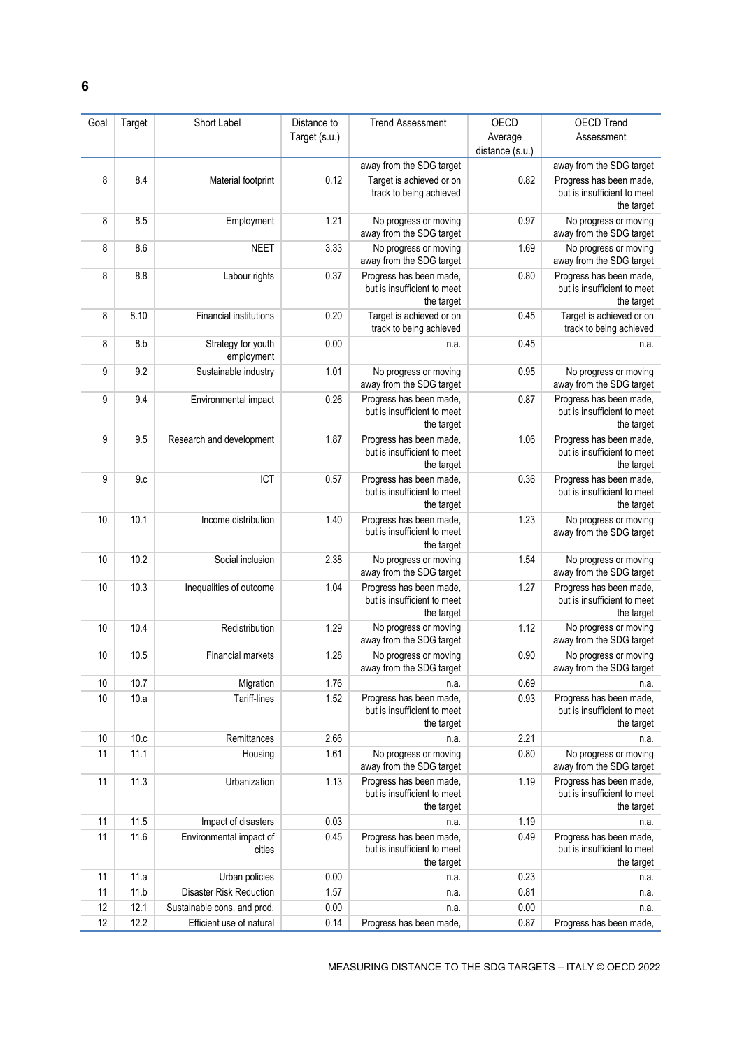| Goal | Target | Short Label                       | Distance to   | <b>Trend Assessment</b>                                              | OECD                       | <b>OECD Trend</b>                                                    |
|------|--------|-----------------------------------|---------------|----------------------------------------------------------------------|----------------------------|----------------------------------------------------------------------|
|      |        |                                   | Target (s.u.) |                                                                      | Average<br>distance (s.u.) | Assessment                                                           |
|      |        |                                   |               | away from the SDG target                                             |                            | away from the SDG target                                             |
| 8    | 8.4    | Material footprint                | 0.12          | Target is achieved or on<br>track to being achieved                  | 0.82                       | Progress has been made,<br>but is insufficient to meet<br>the target |
| 8    | 8.5    | Employment                        | 1.21          | No progress or moving<br>away from the SDG target                    | 0.97                       | No progress or moving<br>away from the SDG target                    |
| 8    | 8.6    | <b>NEET</b>                       | 3.33          | No progress or moving<br>away from the SDG target                    | 1.69                       | No progress or moving<br>away from the SDG target                    |
| 8    | 8.8    | Labour rights                     | 0.37          | Progress has been made,<br>but is insufficient to meet<br>the target | 0.80                       | Progress has been made,<br>but is insufficient to meet<br>the target |
| 8    | 8.10   | <b>Financial institutions</b>     | 0.20          | Target is achieved or on<br>track to being achieved                  | 0.45                       | Target is achieved or on<br>track to being achieved                  |
| 8    | 8.b    | Strategy for youth<br>employment  | 0.00          | n.a.                                                                 | 0.45                       | n.a.                                                                 |
| 9    | 9.2    | Sustainable industry              | 1.01          | No progress or moving<br>away from the SDG target                    | 0.95                       | No progress or moving<br>away from the SDG target                    |
| 9    | 9.4    | Environmental impact              | 0.26          | Progress has been made,<br>but is insufficient to meet<br>the target | 0.87                       | Progress has been made,<br>but is insufficient to meet<br>the target |
| 9    | 9.5    | Research and development          | 1.87          | Progress has been made,<br>but is insufficient to meet<br>the target | 1.06                       | Progress has been made,<br>but is insufficient to meet<br>the target |
| 9    | 9.c    | ICT                               | 0.57          | Progress has been made,<br>but is insufficient to meet<br>the target | 0.36                       | Progress has been made,<br>but is insufficient to meet<br>the target |
| 10   | 10.1   | Income distribution               | 1.40          | Progress has been made,<br>but is insufficient to meet<br>the target | 1.23                       | No progress or moving<br>away from the SDG target                    |
| 10   | 10.2   | Social inclusion                  | 2.38          | No progress or moving<br>away from the SDG target                    | 1.54                       | No progress or moving<br>away from the SDG target                    |
| 10   | 10.3   | Inequalities of outcome           | 1.04          | Progress has been made,<br>but is insufficient to meet<br>the target | 1.27                       | Progress has been made,<br>but is insufficient to meet<br>the target |
| 10   | 10.4   | Redistribution                    | 1.29          | No progress or moving<br>away from the SDG target                    | 1.12                       | No progress or moving<br>away from the SDG target                    |
| 10   | 10.5   | Financial markets                 | 1.28          | No progress or moving<br>away from the SDG target                    | 0.90                       | No progress or moving<br>away from the SDG target                    |
| 10   | 10.7   | Migration                         | 1.76          | n.a.                                                                 | 0.69                       | n.a.                                                                 |
| 10   | 10.a   | Tariff-lines                      | 1.52          | Progress has been made,<br>but is insufficient to meet<br>the target | 0.93                       | Progress has been made,<br>but is insufficient to meet<br>the target |
| 10   | 10.c   | Remittances                       | 2.66          | n.a.                                                                 | 2.21                       | n.a.                                                                 |
| 11   | 11.1   | Housing                           | 1.61          | No progress or moving<br>away from the SDG target                    | 0.80                       | No progress or moving<br>away from the SDG target                    |
| 11   | 11.3   | Urbanization                      | 1.13          | Progress has been made,<br>but is insufficient to meet<br>the target | 1.19                       | Progress has been made,<br>but is insufficient to meet<br>the target |
| 11   | 11.5   | Impact of disasters               | 0.03          | n.a.                                                                 | 1.19                       | n.a.                                                                 |
| 11   | 11.6   | Environmental impact of<br>cities | 0.45          | Progress has been made,<br>but is insufficient to meet<br>the target | 0.49                       | Progress has been made,<br>but is insufficient to meet<br>the target |
| 11   | 11.a   | Urban policies                    | 0.00          | n.a.                                                                 | 0.23                       | n.a.                                                                 |
| 11   | 11.b   | <b>Disaster Risk Reduction</b>    | 1.57          | n.a.                                                                 | 0.81                       | n.a.                                                                 |
| 12   | 12.1   | Sustainable cons. and prod.       | 0.00          | n.a.                                                                 | 0.00                       | n.a.                                                                 |
| 12   | 12.2   | Efficient use of natural          | 0.14          | Progress has been made,                                              | 0.87                       | Progress has been made,                                              |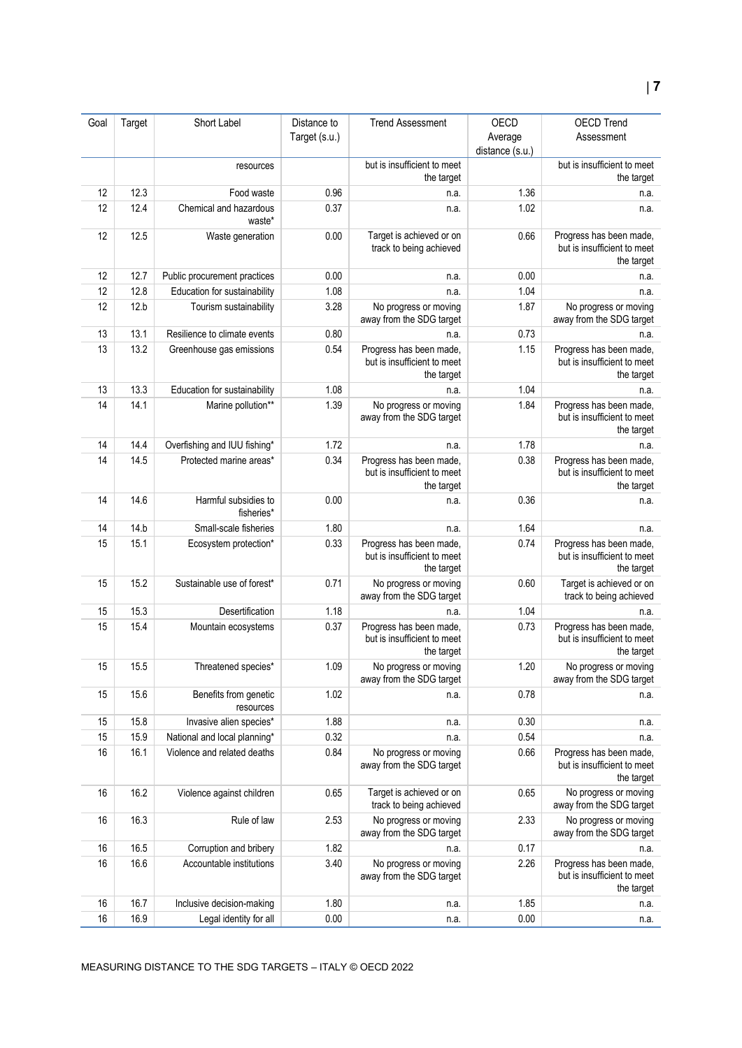| Goal | Target | Short Label                        | Distance to   | <b>Trend Assessment</b>                                              | OECD                       | <b>OECD Trend</b>                                                    |
|------|--------|------------------------------------|---------------|----------------------------------------------------------------------|----------------------------|----------------------------------------------------------------------|
|      |        |                                    | Target (s.u.) |                                                                      | Average<br>distance (s.u.) | Assessment                                                           |
|      |        | resources                          |               | but is insufficient to meet<br>the target                            |                            | but is insufficient to meet<br>the target                            |
| 12   | 12.3   | Food waste                         | 0.96          | n.a.                                                                 | 1.36                       | n.a.                                                                 |
| 12   | 12.4   | Chemical and hazardous<br>waste*   | 0.37          | n.a.                                                                 | 1.02                       | n.a.                                                                 |
| 12   | 12.5   | Waste generation                   | 0.00          | Target is achieved or on<br>track to being achieved                  | 0.66                       | Progress has been made,<br>but is insufficient to meet<br>the target |
| 12   | 12.7   | Public procurement practices       | 0.00          | n.a.                                                                 | 0.00                       | n.a.                                                                 |
| 12   | 12.8   | Education for sustainability       | 1.08          | n.a.                                                                 | 1.04                       | n.a.                                                                 |
| 12   | 12.b   | Tourism sustainability             | 3.28          | No progress or moving<br>away from the SDG target                    | 1.87                       | No progress or moving<br>away from the SDG target                    |
| 13   | 13.1   | Resilience to climate events       | 0.80          | n.a.                                                                 | 0.73                       | n.a.                                                                 |
| 13   | 13.2   | Greenhouse gas emissions           | 0.54          | Progress has been made,<br>but is insufficient to meet<br>the target | 1.15                       | Progress has been made,<br>but is insufficient to meet<br>the target |
| 13   | 13.3   | Education for sustainability       | 1.08          | n.a.                                                                 | 1.04                       | n.a.                                                                 |
| 14   | 14.1   | Marine pollution**                 | 1.39          | No progress or moving<br>away from the SDG target                    | 1.84                       | Progress has been made,<br>but is insufficient to meet<br>the target |
| 14   | 14.4   | Overfishing and IUU fishing*       | 1.72          | n.a.                                                                 | 1.78                       | n.a.                                                                 |
| 14   | 14.5   | Protected marine areas*            | 0.34          | Progress has been made,<br>but is insufficient to meet<br>the target | 0.38                       | Progress has been made,<br>but is insufficient to meet<br>the target |
| 14   | 14.6   | Harmful subsidies to<br>fisheries* | 0.00          | n.a.                                                                 | 0.36                       | n.a.                                                                 |
| 14   | 14.b   | Small-scale fisheries              | 1.80          | n.a.                                                                 | 1.64                       | n.a.                                                                 |
| 15   | 15.1   | Ecosystem protection*              | 0.33          | Progress has been made,<br>but is insufficient to meet<br>the target | 0.74                       | Progress has been made,<br>but is insufficient to meet<br>the target |
| 15   | 15.2   | Sustainable use of forest*         | 0.71          | No progress or moving<br>away from the SDG target                    | 0.60                       | Target is achieved or on<br>track to being achieved                  |
| 15   | 15.3   | Desertification                    | 1.18          | n.a.                                                                 | 1.04                       | n.a.                                                                 |
| 15   | 15.4   | Mountain ecosystems                | 0.37          | Progress has been made,<br>but is insufficient to meet<br>the target | 0.73                       | Progress has been made,<br>but is insufficient to meet<br>the target |
| 15   | 15.5   | Threatened species*                | 1.09          | No progress or moving<br>away from the SDG target                    | 1.20                       | No progress or moving<br>away from the SDG target                    |
| 15   | 15.6   | Benefits from genetic<br>resources | 1.02          | n.a.                                                                 | 0.78                       | n.a.                                                                 |
| 15   | 15.8   | Invasive alien species*            | 1.88          | n.a.                                                                 | 0.30                       | n.a.                                                                 |
| 15   | 15.9   | National and local planning*       | 0.32          | n.a.                                                                 | 0.54                       | n.a.                                                                 |
| 16   | 16.1   | Violence and related deaths        | 0.84          | No progress or moving<br>away from the SDG target                    | 0.66                       | Progress has been made,<br>but is insufficient to meet<br>the target |
| 16   | 16.2   | Violence against children          | 0.65          | Target is achieved or on<br>track to being achieved                  | 0.65                       | No progress or moving<br>away from the SDG target                    |
| 16   | 16.3   | Rule of law                        | 2.53          | No progress or moving<br>away from the SDG target                    | 2.33                       | No progress or moving<br>away from the SDG target                    |
| 16   | 16.5   | Corruption and bribery             | 1.82          | n.a.                                                                 | 0.17                       | n.a.                                                                 |
| 16   | 16.6   | Accountable institutions           | 3.40          | No progress or moving<br>away from the SDG target                    | 2.26                       | Progress has been made,<br>but is insufficient to meet<br>the target |
| 16   | 16.7   | Inclusive decision-making          | 1.80          | n.a.                                                                 | 1.85                       | n.a.                                                                 |
| 16   | 16.9   | Legal identity for all             | 0.00          | n.a.                                                                 | 0.00                       | n.a.                                                                 |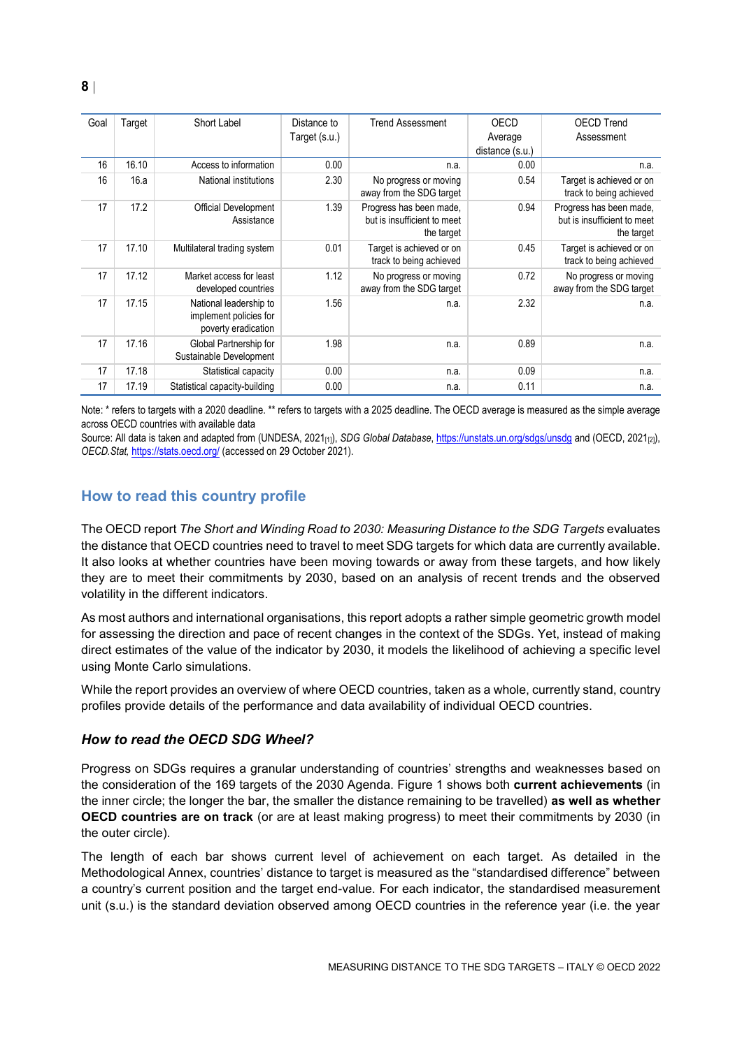| Goal | Target | Short Label                                                             | Distance to<br>Target (s.u.) | <b>Trend Assessment</b>                                              | OECD<br>Average         | <b>OECD Trend</b><br>Assessment                                      |
|------|--------|-------------------------------------------------------------------------|------------------------------|----------------------------------------------------------------------|-------------------------|----------------------------------------------------------------------|
| 16   | 16.10  | Access to information                                                   | 0.00                         | n.a.                                                                 | distance (s.u.)<br>0.00 | n.a.                                                                 |
| 16   | 16.a   | National institutions                                                   | 2.30                         | No progress or moving<br>away from the SDG target                    | 0.54                    | Target is achieved or on<br>track to being achieved                  |
| 17   | 17.2   | Official Development<br>Assistance                                      | 1.39                         | Progress has been made,<br>but is insufficient to meet<br>the target | 0.94                    | Progress has been made,<br>but is insufficient to meet<br>the target |
| 17   | 17.10  | Multilateral trading system                                             | 0.01                         | Target is achieved or on<br>track to being achieved                  | 0.45                    | Target is achieved or on<br>track to being achieved                  |
| 17   | 17.12  | Market access for least<br>developed countries                          | 1.12                         | No progress or moving<br>away from the SDG target                    | 0.72                    | No progress or moving<br>away from the SDG target                    |
| 17   | 17.15  | National leadership to<br>implement policies for<br>poverty eradication | 1.56                         | n.a.                                                                 | 2.32                    | n.a.                                                                 |
| 17   | 17.16  | Global Partnership for<br>Sustainable Development                       | 1.98                         | n.a.                                                                 | 0.89                    | n.a.                                                                 |
| 17   | 17.18  | Statistical capacity                                                    | 0.00                         | n.a.                                                                 | 0.09                    | n.a.                                                                 |
| 17   | 17.19  | Statistical capacity-building                                           | 0.00                         | n.a.                                                                 | 0.11                    | n.a.                                                                 |

Note: \* refers to targets with a 2020 deadline. \*\* refers to targets with a 2025 deadline. The OECD average is measured as the simple average across OECD countries with available data

Source: All data is taken and adapted from (UNDESA, 2021<sub>[1]</sub>), *SDG Global Database*[, https://unstats.un.org/sdgs/unsdg](https://unstats.un.org/sdgs/unsdg) and (OECD, 2021<sub>[2]</sub>), *OECD.Stat,* <https://stats.oecd.org/> (accessed on 29 October 2021).

## <span id="page-7-0"></span>**How to read this country profile**

The OECD report *The Short and Winding Road to 2030: Measuring Distance to the SDG Targets* evaluates the distance that OECD countries need to travel to meet SDG targets for which data are currently available. It also looks at whether countries have been moving towards or away from these targets, and how likely they are to meet their commitments by 2030, based on an analysis of recent trends and the observed volatility in the different indicators.

As most authors and international organisations, this report adopts a rather simple geometric growth model for assessing the direction and pace of recent changes in the context of the SDGs. Yet, instead of making direct estimates of the value of the indicator by 2030, it models the likelihood of achieving a specific level using Monte Carlo simulations.

While the report provides an overview of where OECD countries, taken as a whole, currently stand, country profiles provide details of the performance and data availability of individual OECD countries.

#### *How to read the OECD SDG Wheel?*

Progress on SDGs requires a granular understanding of countries' strengths and weaknesses based on the consideration of the 169 targets of the 2030 Agenda. [Figure](#page-0-0) 1 shows both **current achievements** (in the inner circle; the longer the bar, the smaller the distance remaining to be travelled) **as well as whether OECD countries are on track** (or are at least making progress) to meet their commitments by 2030 (in the outer circle).

The length of each bar shows current level of achievement on each target. As detailed in the Methodological Annex, countries' distance to target is measured as the "standardised difference" between a country's current position and the target end-value. For each indicator, the standardised measurement unit (s.u.) is the standard deviation observed among OECD countries in the reference year (i.e. the year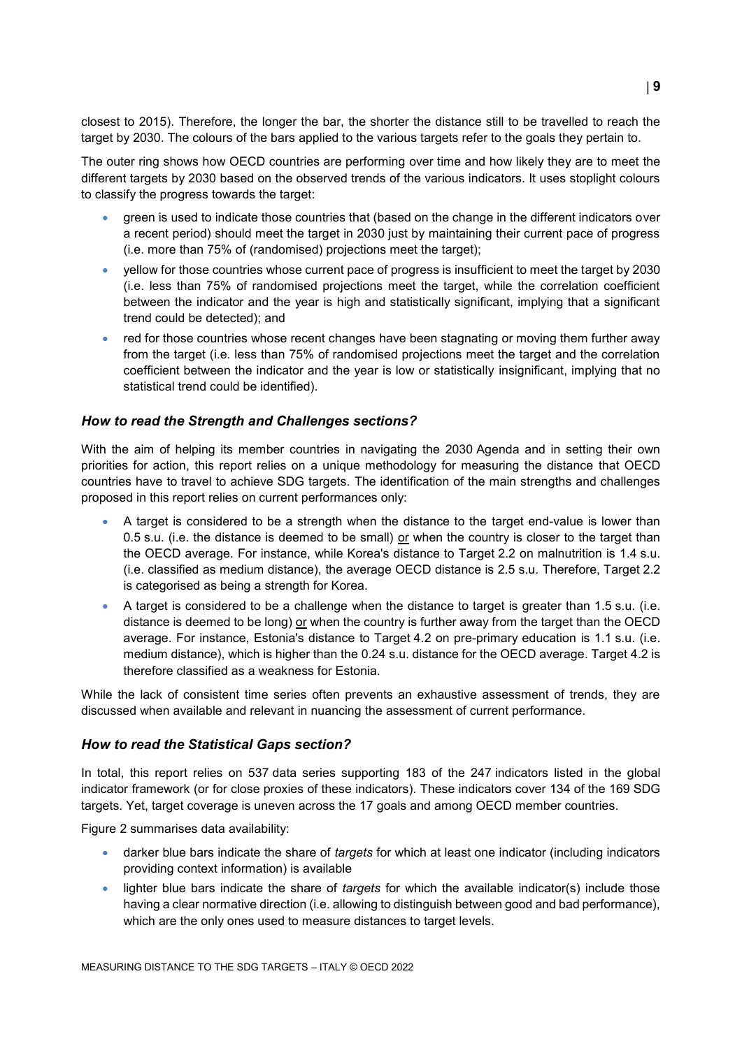closest to 2015). Therefore, the longer the bar, the shorter the distance still to be travelled to reach the target by 2030. The colours of the bars applied to the various targets refer to the goals they pertain to.

The outer ring shows how OECD countries are performing over time and how likely they are to meet the different targets by 2030 based on the observed trends of the various indicators. It uses stoplight colours to classify the progress towards the target:

- green is used to indicate those countries that (based on the change in the different indicators over a recent period) should meet the target in 2030 just by maintaining their current pace of progress (i.e. more than 75% of (randomised) projections meet the target);
- yellow for those countries whose current pace of progress is insufficient to meet the target by 2030 (i.e. less than 75% of randomised projections meet the target, while the correlation coefficient between the indicator and the year is high and statistically significant, implying that a significant trend could be detected); and
- red for those countries whose recent changes have been stagnating or moving them further away from the target (i.e. less than 75% of randomised projections meet the target and the correlation coefficient between the indicator and the year is low or statistically insignificant, implying that no statistical trend could be identified).

#### *How to read the Strength and Challenges sections?*

With the aim of helping its member countries in navigating the 2030 Agenda and in setting their own priorities for action, this report relies on a unique methodology for measuring the distance that OECD countries have to travel to achieve SDG targets. The identification of the main strengths and challenges proposed in this report relies on current performances only:

- A target is considered to be a strength when the distance to the target end-value is lower than 0.5 s.u. (i.e. the distance is deemed to be small) or when the country is closer to the target than the OECD average. For instance, while Korea's distance to Target 2.2 on malnutrition is 1.4 s.u. (i.e. classified as medium distance), the average OECD distance is 2.5 s.u. Therefore, Target 2.2 is categorised as being a strength for Korea.
- A target is considered to be a challenge when the distance to target is greater than 1.5 s.u. (i.e. distance is deemed to be long) or when the country is further away from the target than the OECD average. For instance, Estonia's distance to Target 4.2 on pre-primary education is 1.1 s.u. (i.e. medium distance), which is higher than the 0.24 s.u. distance for the OECD average. Target 4.2 is therefore classified as a weakness for Estonia.

While the lack of consistent time series often prevents an exhaustive assessment of trends, they are discussed when available and relevant in nuancing the assessment of current performance.

#### *How to read the Statistical Gaps section?*

In total, this report relies on 537 data series supporting 183 of the 247 indicators listed in the global indicator framework (or for close proxies of these indicators). These indicators cover 134 of the 169 SDG targets. Yet, target coverage is uneven across the 17 goals and among OECD member countries.

[Figure](#page-2-0) 2 summarises data availability:

- darker blue bars indicate the share of *targets* for which at least one indicator (including indicators providing context information) is available
- lighter blue bars indicate the share of *targets* for which the available indicator(s) include those having a clear normative direction (i.e. allowing to distinguish between good and bad performance), which are the only ones used to measure distances to target levels.